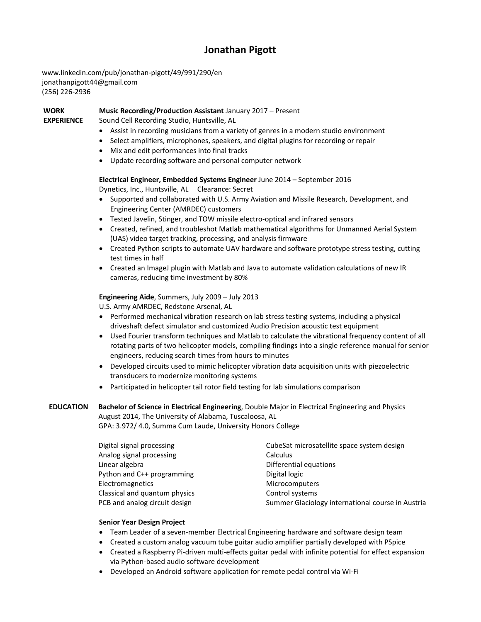## **Jonathan Pigott**

www.linkedin.com/pub/jonathan-pigott/49/991/290/en jonathanpigott44@gmail.com (256) 226-2936

**WORK Music Recording/Production Assistant** January 2017 – Present

**EXPERIENCE** Sound Cell Recording Studio, Huntsville, AL

- Assist in recording musicians from a variety of genres in a modern studio environment
- Select amplifiers, microphones, speakers, and digital plugins for recording or repair
- Mix and edit performances into final tracks
- Update recording software and personal computer network

#### **Electrical Engineer, Embedded Systems Engineer** June 2014 – September 2016

Dynetics, Inc., Huntsville, AL Clearance: Secret

- Supported and collaborated with U.S. Army Aviation and Missile Research, Development, and Engineering Center (AMRDEC) customers
- Tested Javelin, Stinger, and TOW missile electro-optical and infrared sensors
- Created, refined, and troubleshot Matlab mathematical algorithms for Unmanned Aerial System (UAS) video target tracking, processing, and analysis firmware
- Created Python scripts to automate UAV hardware and software prototype stress testing, cutting test times in half
- Created an ImageJ plugin with Matlab and Java to automate validation calculations of new IR cameras, reducing time investment by 80%

### **Engineering Aide**, Summers, July 2009 – July 2013

U.S. Army AMRDEC, Redstone Arsenal, AL

- Performed mechanical vibration research on lab stress testing systems, including a physical driveshaft defect simulator and customized Audio Precision acoustic test equipment
- Used Fourier transform techniques and Matlab to calculate the vibrational frequency content of all rotating parts of two helicopter models, compiling findings into a single reference manual for senior engineers, reducing search times from hours to minutes
- Developed circuits used to mimic helicopter vibration data acquisition units with piezoelectric transducers to modernize monitoring systems
- Participated in helicopter tail rotor field testing for lab simulations comparison

# **EDUCATION Bachelor of Science in Electrical Engineering**, Double Major in Electrical Engineering and Physics August 2014, The University of Alabama, Tuscaloosa, AL

GPA: 3.972/ 4.0, Summa Cum Laude, University Honors College

| Digital signal processing     | CubeSat microsatellite space system design        |
|-------------------------------|---------------------------------------------------|
| Analog signal processing      | <b>Calculus</b>                                   |
| Linear algebra                | Differential equations                            |
| Python and C++ programming    | Digital logic                                     |
| Electromagnetics              | <b>Microcomputers</b>                             |
| Classical and quantum physics | Control systems                                   |
| PCB and analog circuit design | Summer Glaciology international course in Austria |

### **Senior Year Design Project**

- Team Leader of a seven-member Electrical Engineering hardware and software design team
- Created a custom analog vacuum tube guitar audio amplifier partially developed with PSpice
- Created a Raspberry Pi-driven multi-effects guitar pedal with infinite potential for effect expansion via Python-based audio software development
- Developed an Android software application for remote pedal control via Wi-Fi